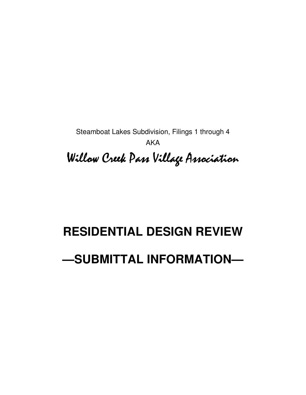Steamboat Lakes Subdivision, Filings 1 through 4 AKA

Willow Creek Pass Village Association

# **RESIDENTIAL DESIGN REVIEW —SUBMITTAL INFORMATION—**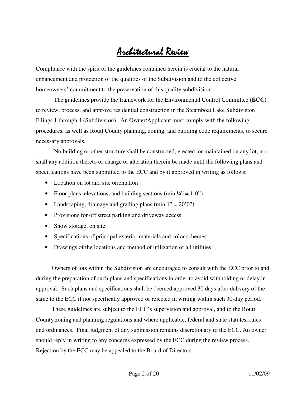# Architectural Review

Compliance with the spirit of the guidelines contained herein is crucial to the natural enhancement and protection of the qualities of the Subdivision and to the collective homeowners' commitment to the preservation of this quality subdivision.

The guidelines provide the framework for the Environmental Control Committee (**ECC**) to review, process, and approve residential construction in the Steamboat Lake Subdivision Filings 1 through 4 (Subdivision). An Owner/Applicant must comply with the following procedures, as well as Routt County planning, zoning, and building code requirements, to secure necessary approvals.

No building or other structure shall be constructed, erected, or maintained on any lot, nor shall any addition thereto or change or alteration therein be made until the following plans and specifications have been submitted to the ECC and by it approved in writing as follows:

- Location on lot and site orientation
- Floor plans, elevations, and building sections (min  $\frac{1}{4}$ " = 1'0")
- Landscaping, drainage and grading plans (min  $1'' = 20'0''$ )
- Provisions for off street parking and driveway access
- Snow storage, on site
- Specifications of principal exterior materials and color schemes
- Drawings of the locations and method of utilization of all utilities.

Owners of lots within the Subdivision are encouraged to consult with the ECC prior to and during the preparation of such plans and specifications in order to avoid withholding or delay in approval. Such plans and specifications shall be deemed approved 30 days after delivery of the same to the ECC if not specifically approved or rejected in writing within such 30-day period.

These guidelines are subject to the ECC's supervision and approval, and to the Routt County zoning and planning regulations and where applicable, federal and state statutes, rules and ordinances. Final judgment of any submission remains discretionary to the ECC. An owner should reply in writing to any concerns expressed by the ECC during the review process. Rejection by the ECC may be appealed to the Board of Directors.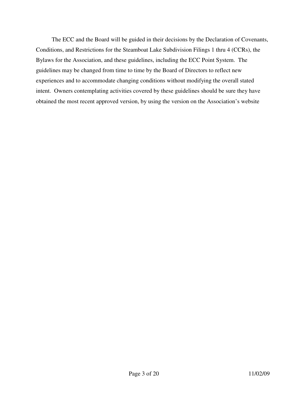The ECC and the Board will be guided in their decisions by the Declaration of Covenants, Conditions, and Restrictions for the Steamboat Lake Subdivision Filings 1 thru 4 (CCRs), the Bylaws for the Association, and these guidelines, including the ECC Point System. The guidelines may be changed from time to time by the Board of Directors to reflect new experiences and to accommodate changing conditions without modifying the overall stated intent. Owners contemplating activities covered by these guidelines should be sure they have obtained the most recent approved version, by using the version on the Association's website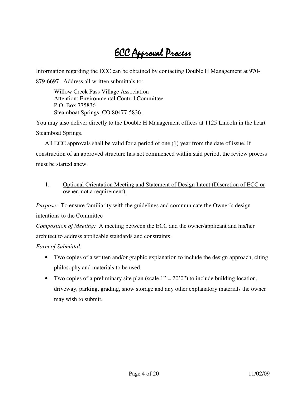# ECC Approval Process

Information regarding the ECC can be obtained by contacting Double H Management at 970-

879-6697. Address all written submittals to:

Willow Creek Pass Village Association Attention: Environmental Control Committee P.O. Box 775836 Steamboat Springs, CO 80477-5836.

You may also deliver directly to the Double H Management offices at 1125 Lincoln in the heart Steamboat Springs.

All ECC approvals shall be valid for a period of one (1) year from the date of issue. If construction of an approved structure has not commenced within said period, the review process must be started anew.

#### 1. Optional Orientation Meeting and Statement of Design Intent (Discretion of ECC or owner, not a requirement)

*Purpose:* To ensure familiarity with the guidelines and communicate the Owner's design intentions to the Committee

*Composition of Meeting:* A meeting between the ECC and the owner/applicant and his/her architect to address applicable standards and constraints.

*Form of Submittal:*

- Two copies of a written and/or graphic explanation to include the design approach, citing philosophy and materials to be used.
- Two copies of a preliminary site plan (scale  $1" = 20"0"$ ) to include building location, driveway, parking, grading, snow storage and any other explanatory materials the owner may wish to submit.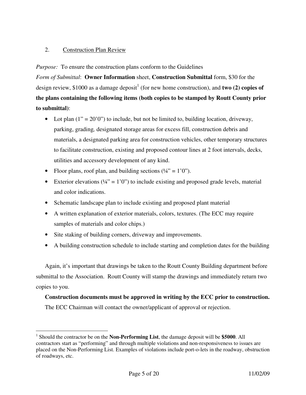#### 2. Construction Plan Review

*Purpose:* To ensure the construction plans conform to the Guidelines

*Form of Submittal*: **Owner Information** sheet, **Construction Submittal** form, \$30 for the design review, \$1000 as a damage deposit<sup>1</sup> (for new home construction), and **two (2) copies of the plans containing the following items (both copies to be stamped by Routt County prior to submittal)**:

- Lot plan  $(1" = 20'0")$  to include, but not be limited to, building location, driveway, parking, grading*,* designated storage areas for excess fill, construction debris and materials, a designated parking area for construction vehicles, other temporary structures to facilitate construction, existing and proposed contour lines at 2 foot intervals, decks, utilities and accessory development of any kind.
- Floor plans, roof plan, and building sections  $(44^{\circ} = 1^{\circ}0^{\circ})$ .
- Exterior elevations  $(44)$  = 1'0") to include existing and proposed grade levels, material and color indications.
- Schematic landscape plan to include existing and proposed plant material
- A written explanation of exterior materials, colors, textures. (The ECC may require samples of materials and color chips.)
- Site staking of building corners, driveway and improvements.
- A building construction schedule to include starting and completion dates for the building

Again, it's important that drawings be taken to the Routt County Building department before submittal to the Association. Routt County will stamp the drawings and immediately return two copies to you.

## **Construction documents must be approved in writing by the ECC prior to construction.**

The ECC Chairman will contact the owner/applicant of approval or rejection.

 $\overline{a}$ 1 Should the contractor be on the **Non-Performing List**, the damage deposit will be **\$5000**. All contractors start as "performing" and through multiple violations and non-responsiveness to issues are placed on the Non-Performing List. Examples of violations include port-o-lets in the roadway, obstruction of roadways, etc.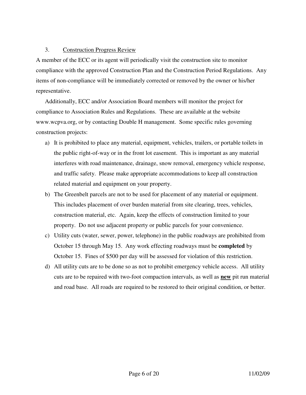#### 3. Construction Progress Review

A member of the ECC or its agent will periodically visit the construction site to monitor compliance with the approved Construction Plan and the Construction Period Regulations. Any items of non-compliance will be immediately corrected or removed by the owner or his/her representative.

Additionally, ECC and/or Association Board members will monitor the project for compliance to Association Rules and Regulations. These are available at the website www.wcpva.org, or by contacting Double H management. Some specific rules governing construction projects:

- a) It is prohibited to place any material, equipment, vehicles, trailers, or portable toilets in the public right-of-way or in the front lot easement. This is important as any material interferes with road maintenance, drainage, snow removal, emergency vehicle response, and traffic safety. Please make appropriate accommodations to keep all construction related material and equipment on your property.
- b) The Greenbelt parcels are not to be used for placement of any material or equipment. This includes placement of over burden material from site clearing, trees, vehicles, construction material, etc. Again, keep the effects of construction limited to your property. Do not use adjacent property or public parcels for your convenience.
- c) Utility cuts (water, sewer, power, telephone) in the public roadways are prohibited from October 15 through May 15. Any work effecting roadways must be **completed** by October 15. Fines of \$500 per day will be assessed for violation of this restriction.
- d) All utility cuts are to be done so as not to prohibit emergency vehicle access. All utility cuts are to be repaired with two-foot compaction intervals, as well as **new** pit run material and road base. All roads are required to be restored to their original condition, or better.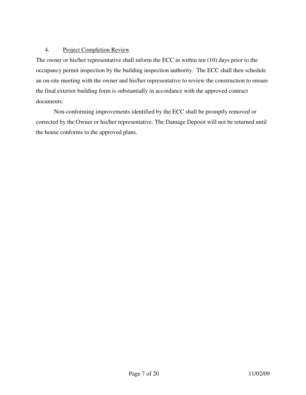#### 4. Project Completion Review

The owner or his/her representative shall inform the ECC in within ten (10) days prior to the occupancy permit inspection by the building inspection authority. The ECC shall then schedule an on-site meeting with the owner and his/her representative to review the construction to ensure the final exterior building form is substantially in accordance with the approved contract documents.

Non-conforming improvements identified by the ECC shall be promptly removed or corrected by the Owner or his/her representative. The Damage Deposit will not be returned until the house conforms to the approved plans.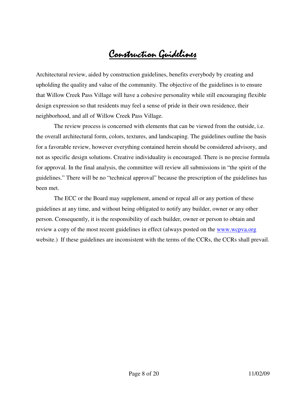# Construction Guidelines

Architectural review, aided by construction guidelines, benefits everybody by creating and upholding the quality and value of the community. The objective of the guidelines is to ensure that Willow Creek Pass Village will have a cohesive personality while still encouraging flexible design expression so that residents may feel a sense of pride in their own residence, their neighborhood, and all of Willow Creek Pass Village.

The review process is concerned with elements that can be viewed from the outside, i.e. the overall architectural form, colors, textures, and landscaping. The guidelines outline the basis for a favorable review, however everything contained herein should be considered advisory, and not as specific design solutions. Creative individuality is encouraged. There is no precise formula for approval. In the final analysis, the committee will review all submissions in "the spirit of the guidelines." There will be no "technical approval" because the prescription of the guidelines has been met.

The ECC or the Board may supplement, amend or repeal all or any portion of these guidelines at any time, and without being obligated to notify any builder, owner or any other person. Consequently, it is the responsibility of each builder, owner or person to obtain and review a copy of the most recent guidelines in effect (always posted on the www.wcpva.org website.) If these guidelines are inconsistent with the terms of the CCRs, the CCRs shall prevail.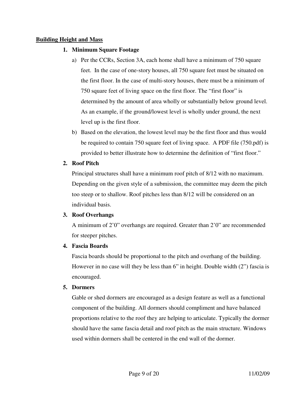#### **Building Height and Mass**

#### **1. Minimum Square Footage**

- a) Per the CCRs, Section 3A, each home shall have a minimum of 750 square feet. In the case of one-story houses, all 750 square feet must be situated on the first floor. In the case of multi-story houses, there must be a minimum of 750 square feet of living space on the first floor. The "first floor" is determined by the amount of area wholly or substantially below ground level. As an example, if the ground/lowest level is wholly under ground, the next level up is the first floor.
- b) Based on the elevation, the lowest level may be the first floor and thus would be required to contain 750 square feet of living space. A PDF file (750.pdf) is provided to better illustrate how to determine the definition of "first floor."

#### **2. Roof Pitch**

Principal structures shall have a minimum roof pitch of 8/12 with no maximum. Depending on the given style of a submission, the committee may deem the pitch too steep or to shallow. Roof pitches less than 8/12 will be considered on an individual basis.

#### **3. Roof Overhangs**

A minimum of 2'0" overhangs are required. Greater than 2'0" are recommended for steeper pitches.

#### **4. Fascia Boards**

Fascia boards should be proportional to the pitch and overhang of the building. However in no case will they be less than 6" in height. Double width (2") fascia is encouraged.

#### **5. Dormers**

Gable or shed dormers are encouraged as a design feature as well as a functional component of the building. All dormers should compliment and have balanced proportions relative to the roof they are helping to articulate. Typically the dormer should have the same fascia detail and roof pitch as the main structure. Windows used within dormers shall be centered in the end wall of the dormer.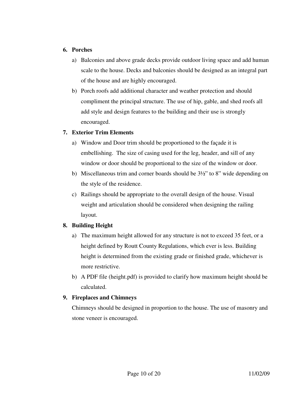#### **6. Porches**

- a) Balconies and above grade decks provide outdoor living space and add human scale to the house. Decks and balconies should be designed as an integral part of the house and are highly encouraged.
- b) Porch roofs add additional character and weather protection and should compliment the principal structure. The use of hip, gable, and shed roofs all add style and design features to the building and their use is strongly encouraged.

#### **7. Exterior Trim Elements**

- a) Window and Door trim should be proportioned to the façade it is embellishing. The size of casing used for the leg, header, and sill of any window or door should be proportional to the size of the window or door.
- b) Miscellaneous trim and corner boards should be 3½" to 8" wide depending on the style of the residence.
- c) Railings should be appropriate to the overall design of the house. Visual weight and articulation should be considered when designing the railing layout.

#### **8. Building Height**

- a) The maximum height allowed for any structure is not to exceed 35 feet, or a height defined by Routt County Regulations, which ever is less. Building height is determined from the existing grade or finished grade, whichever is more restrictive.
- b) A PDF file (height.pdf) is provided to clarify how maximum height should be calculated.

#### **9. Fireplaces and Chimneys**

Chimneys should be designed in proportion to the house. The use of masonry and stone veneer is encouraged.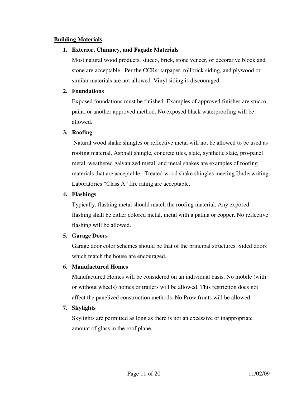#### **Building Materials**

#### **1. Exterior, Chimney, and Façade Materials**

Most natural wood products, stucco, brick, stone veneer, or decorative block and stone are acceptable. Per the CCRs: tarpaper, rollbrick siding, and plywood or similar materials are not allowed. Vinyl siding is discouraged.

#### **2. Foundations**

Exposed foundations must be finished. Examples of approved finishes are stucco, paint, or another approved method. No exposed black waterproofing will be allowed.

#### **3. Roofing**

 Natural wood shake shingles or reflective metal will not be allowed to be used as roofing material. Asphalt shingle, concrete tiles, slate, synthetic slate, pro-panel metal, weathered galvanized metal, and metal shakes are examples of roofing materials that are acceptable. Treated wood shake shingles meeting Underwriting Laboratories "Class A" fire rating are acceptable.

#### **4. Flashings**

Typically, flashing metal should match the roofing material. Any exposed flashing shall be either colored metal, metal with a patina or copper. No reflective flashing will be allowed.

#### **5. Garage Doors**

Garage door color schemes should be that of the principal structures. Sided doors which match the house are encouraged.

#### **6. Manufactured Homes**

Manufactured Homes will be considered on an individual basis. No mobile (with or without wheels) homes or trailers will be allowed. This restriction does not affect the panelized construction methods. No Prow fronts will be allowed.

#### **7. Skylights**

Skylights are permitted as long as there is not an excessive or inappropriate amount of glass in the roof plane.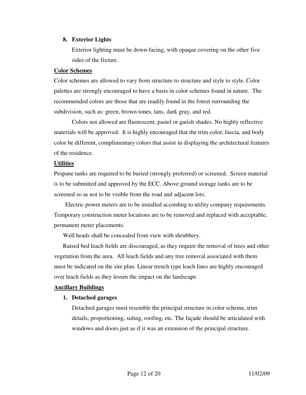#### **8. Exterior Lights**

Exterior lighting must be down-facing, with opaque covering on the other five sides of the fixture.

#### **Color Schemes**

Color schemes are allowed to vary from structure to structure and style to style. Color palettes are strongly encouraged to have a basis in color schemes found in nature. The recommended colors are those that are readily found in the forest surrounding the subdivision, such as: green, brown tones, tans, dark gray, and red.

Colors not allowed are fluorescent, pastel or garish shades. No highly reflective materials will be approved. It is highly encouraged that the trim color, fascia, and body color be different, complimentary colors that assist in displaying the architectural features of the residence.

#### **Utilities**

Propane tanks are required to be buried (strongly preferred) or screened. Screen material is to be submitted and approved by the ECC. Above ground storage tanks are to be screened so as not to be visible from the road and adjacent lots.

 Electric power meters are to be installed according to utility company requirements. Temporary construction meter locations are to be removed and replaced with acceptable, permanent meter placements.

Well heads shall be concealed from view with shrubbery.

Raised bed leach fields are discouraged, as they require the removal of trees and other vegetation from the area. All leach fields and any tree removal associated with them must be indicated on the site plan. Linear trench type leach lines are highly encouraged over leach fields as they lessen the impact on the landscape.

#### **Ancillary Buildings**

#### **1. Detached garages**

Detached garages must resemble the principal structure in color scheme, trim details, proportioning, siding, roofing, etc. The façade should be articulated with windows and doors just as if it was an extension of the principal structure.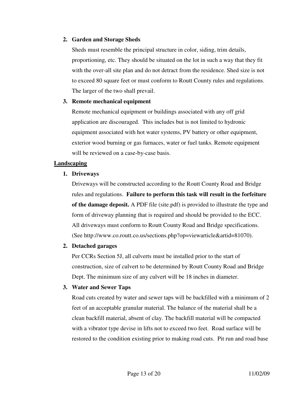#### **2. Garden and Storage Sheds**

Sheds must resemble the principal structure in color, siding, trim details, proportioning, etc. They should be situated on the lot in such a way that they fit with the over-all site plan and do not detract from the residence. Shed size is not to exceed 80 square feet or must conform to Routt County rules and regulations. The larger of the two shall prevail.

#### **3. Remote mechanical equipment**

Remote mechanical equipment or buildings associated with any off grid application are discouraged. This includes but is not limited to hydronic equipment associated with hot water systems, PV battery or other equipment, exterior wood burning or gas furnaces, water or fuel tanks. Remote equipment will be reviewed on a case-by-case basis.

#### **Landscaping**

#### **1. Driveways**

Driveways will be constructed according to the Routt County Road and Bridge rules and regulations. **Failure to perform this task will result in the forfeiture of the damage deposit.** A PDF file (site.pdf) is provided to illustrate the type and form of driveway planning that is required and should be provided to the ECC. All driveways must conform to Routt County Road and Bridge specifications. (See http://www.co.routt.co.us/sections.php?op=viewarticle&artid=81070).

#### **2. Detached garages**

Per CCRs Section 5J, all culverts must be installed prior to the start of construction, size of culvert to be determined by Routt County Road and Bridge Dept. The minimum size of any culvert will be 18 inches in diameter.

#### **3. Water and Sewer Taps**

Road cuts created by water and sewer taps will be backfilled with a minimum of 2 feet of an acceptable granular material. The balance of the material shall be a clean backfill material, absent of clay. The backfill material will be compacted with a vibrator type devise in lifts not to exceed two feet. Road surface will be restored to the condition existing prior to making road cuts. Pit run and road base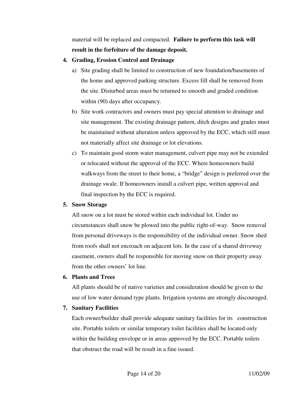material will be replaced and compacted. **Failure to perform this task will result in the forfeiture of the damage deposit.** 

#### **4. Grading, Erosion Control and Drainage**

- a) Site grading shall be limited to construction of new foundation/basements of the home and approved parking structure. Excess fill shall be removed from the site. Disturbed areas must be returned to smooth and graded condition within (90) days after occupancy.
- b) Site work contractors and owners must pay special attention to drainage and site management. The existing drainage pattern, ditch designs and grades must be maintained without alteration unless approved by the ECC, which still must not materially affect site drainage or lot elevations.
- c) To maintain good storm water management, culvert pipe may not be extended or relocated without the approval of the ECC. Where homeowners build walkways from the street to their home, a "bridge" design is preferred over the drainage swale. If homeowners install a culvert pipe, written approval and final inspection by the ECC is required.

#### **5. Snow Storage**

All snow on a lot must be stored within each individual lot. Under no circumstances shall snow be plowed into the public right-of-way. Snow removal from personal driveways is the responsibility of the individual owner. Snow shed from roofs shall not encroach on adjacent lots. In the case of a shared driveway easement, owners shall be responsible for moving snow on their property away from the other owners' lot line.

#### **6. Plants and Trees**

All plants should be of native varieties and consideration should be given to the use of low water demand type plants. Irrigation systems are strongly discouraged.

#### **7. Sanitary Facilities**

Each owner/builder shall provide adequate sanitary facilities for its construction site. Portable toilets or similar temporary toilet facilities shall be located only within the building envelope or in areas approved by the ECC. Portable toilets that obstruct the road will be result in a fine issued.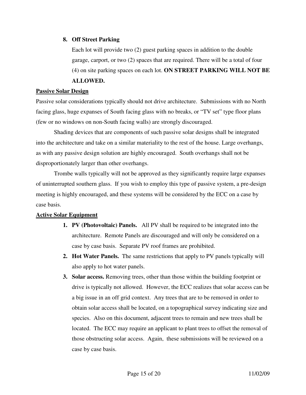#### **8. Off Street Parking**

Each lot will provide two (2) guest parking spaces in addition to the double garage, carport, or two (2) spaces that are required. There will be a total of four (4) on site parking spaces on each lot. **ON STREET PARKING WILL NOT BE** 

#### **ALLOWED.**

#### **Passive Solar Design**

Passive solar considerations typically should not drive architecture. Submissions with no North facing glass, huge expanses of South facing glass with no breaks, or "TV set" type floor plans (few or no windows on non-South facing walls) are strongly discouraged.

Shading devices that are components of such passive solar designs shall be integrated into the architecture and take on a similar materiality to the rest of the house. Large overhangs, as with any passive design solution are highly encouraged. South overhangs shall not be disproportionately larger than other overhangs.

Trombe walls typically will not be approved as they significantly require large expanses of uninterrupted southern glass. If you wish to employ this type of passive system, a pre-design meeting is highly encouraged, and these systems will be considered by the ECC on a case by case basis.

#### **Active Solar Equipment**

- **1. PV (Photovoltaic) Panels.** All PV shall be required to be integrated into the architecture. Remote Panels are discouraged and will only be considered on a case by case basis. Separate PV roof frames are prohibited.
- **2. Hot Water Panels.** The same restrictions that apply to PV panels typically will also apply to hot water panels.
- **3. Solar access.** Removing trees, other than those within the building footprint or drive is typically not allowed. However, the ECC realizes that solar access can be a big issue in an off grid context. Any trees that are to be removed in order to obtain solar access shall be located, on a topographical survey indicating size and species. Also on this document, adjacent trees to remain and new trees shall be located. The ECC may require an applicant to plant trees to offset the removal of those obstructing solar access. Again, these submissions will be reviewed on a case by case basis.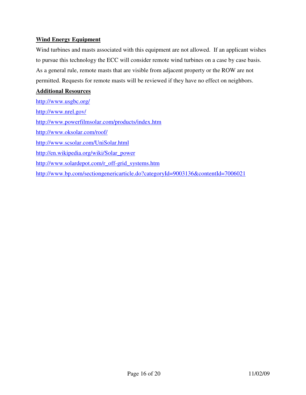#### **Wind Energy Equipment**

Wind turbines and masts associated with this equipment are not allowed. If an applicant wishes to pursue this technology the ECC will consider remote wind turbines on a case by case basis. As a general rule, remote masts that are visible from adjacent property or the ROW are not permitted. Requests for remote masts will be reviewed if they have no effect on neighbors.

#### **Additional Resources**

http://www.usgbc.org/ http://www.nrel.gov/ http://www.powerfilmsolar.com/products/index.htm http://www.oksolar.com/roof/ http://www.scsolar.com/UniSolar.html http://en.wikipedia.org/wiki/Solar\_power http://www.solardepot.com/r\_off-grid\_systems.htm http://www.bp.com/sectiongenericarticle.do?categoryId=9003136&contentId=7006021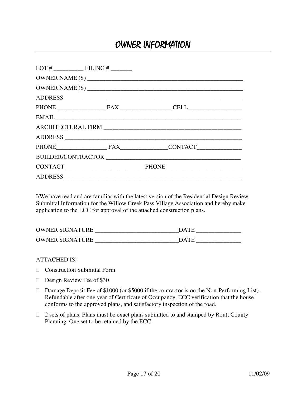### OWNER INFORMATION

|  |         | EMAIL CONSUMING THE CONSUMING THE CONSUMING THE CONSUMING THE CONSUMING THE CONSUMING THE CONSUMING THE CONSUMING THE CONSUMING THE CONSUMING THE CONSUMING THE CONSUMING THE CONSUMING THE CONSUMING THE CONSUMING THE CONSUM |  |  |  |
|--|---------|--------------------------------------------------------------------------------------------------------------------------------------------------------------------------------------------------------------------------------|--|--|--|
|  |         |                                                                                                                                                                                                                                |  |  |  |
|  |         |                                                                                                                                                                                                                                |  |  |  |
|  |         | PHONE FAX CONTACT                                                                                                                                                                                                              |  |  |  |
|  |         |                                                                                                                                                                                                                                |  |  |  |
|  |         |                                                                                                                                                                                                                                |  |  |  |
|  | ADDRESS |                                                                                                                                                                                                                                |  |  |  |

I/We have read and are familiar with the latest version of the Residential Design Review Submittal Information for the Willow Creek Pass Village Association and hereby make application to the ECC for approval of the attached construction plans.

| <b>OWNER SIGNATURE</b> | <b>DATE</b> |
|------------------------|-------------|
| <b>OWNER SIGNATURE</b> | <b>DATE</b> |

ATTACHED IS:

Construction Submittal Form

Design Review Fee of \$30

 Damage Deposit Fee of \$1000 (or \$5000 if the contractor is on the Non-Performing List). Refundable after one year of Certificate of Occupancy, ECC verification that the house conforms to the approved plans, and satisfactory inspection of the road.

 2 sets of plans. Plans must be exact plans submitted to and stamped by Routt County Planning. One set to be retained by the ECC.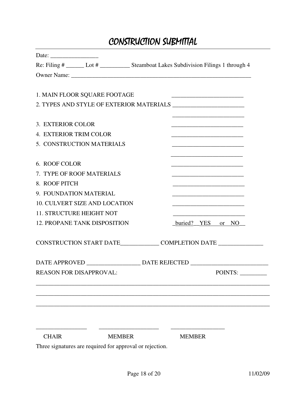# CONSTRUCTION SUBMITTAL

| Date: $\frac{1}{\sqrt{1-\frac{1}{2}} \cdot \frac{1}{2}}$ |                                                                                        |               |                                                                                           |                                                             |         |  |
|----------------------------------------------------------|----------------------------------------------------------------------------------------|---------------|-------------------------------------------------------------------------------------------|-------------------------------------------------------------|---------|--|
|                                                          | Re: Filing # ______ Lot # ____________ Steamboat Lakes Subdivision Filings 1 through 4 |               |                                                                                           |                                                             |         |  |
|                                                          |                                                                                        |               |                                                                                           |                                                             |         |  |
|                                                          |                                                                                        |               |                                                                                           |                                                             |         |  |
|                                                          | 1. MAIN FLOOR SQUARE FOOTAGE                                                           |               |                                                                                           |                                                             |         |  |
|                                                          |                                                                                        |               |                                                                                           |                                                             |         |  |
| 3. EXTERIOR COLOR                                        |                                                                                        |               |                                                                                           |                                                             |         |  |
| 4. EXTERIOR TRIM COLOR                                   |                                                                                        |               |                                                                                           |                                                             |         |  |
|                                                          | 5. CONSTRUCTION MATERIALS                                                              |               |                                                                                           |                                                             |         |  |
|                                                          |                                                                                        |               |                                                                                           | <u> 1989 - Johann Barbara, martxa al III-lea (h. 1976).</u> |         |  |
| 6. ROOF COLOR                                            |                                                                                        |               |                                                                                           |                                                             |         |  |
|                                                          | 7. TYPE OF ROOF MATERIALS                                                              |               |                                                                                           |                                                             |         |  |
| 8. ROOF PITCH                                            |                                                                                        |               | the control of the control of the control of the control of the control of the control of |                                                             |         |  |
| 9. FOUNDATION MATERIAL                                   |                                                                                        |               |                                                                                           |                                                             |         |  |
|                                                          | <b>10. CULVERT SIZE AND LOCATION</b>                                                   |               |                                                                                           |                                                             |         |  |
|                                                          | 11. STRUCTURE HEIGHT NOT                                                               |               |                                                                                           |                                                             |         |  |
|                                                          | <b>12. PROPANE TANK DISPOSITION</b>                                                    |               | buried? YES or NO                                                                         |                                                             |         |  |
|                                                          | CONSTRUCTION START DATE_______________COMPLETION DATE ___________________________      |               |                                                                                           |                                                             |         |  |
|                                                          |                                                                                        |               |                                                                                           |                                                             |         |  |
|                                                          |                                                                                        |               |                                                                                           |                                                             |         |  |
|                                                          | <b>REASON FOR DISAPPROVAL:</b>                                                         |               |                                                                                           |                                                             | POINTS: |  |
|                                                          |                                                                                        |               |                                                                                           |                                                             |         |  |
|                                                          |                                                                                        |               |                                                                                           |                                                             |         |  |
|                                                          |                                                                                        |               |                                                                                           |                                                             |         |  |
|                                                          |                                                                                        |               |                                                                                           |                                                             |         |  |
|                                                          |                                                                                        |               |                                                                                           |                                                             |         |  |
| <b>CHAIR</b>                                             |                                                                                        | <b>MEMBER</b> | <b>MEMBER</b>                                                                             |                                                             |         |  |
|                                                          | Three signatures are required for approval or rejection.                               |               |                                                                                           |                                                             |         |  |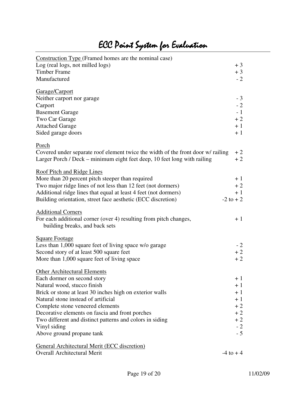| Construction Type (Framed homes are the nominal case)                            |              |
|----------------------------------------------------------------------------------|--------------|
| Log (real logs, not milled logs)                                                 | $+3$         |
| <b>Timber Frame</b>                                                              | $+3$         |
| Manufactured                                                                     | $-2$         |
| Garage/Carport                                                                   |              |
| Neither carport nor garage                                                       | $-3$         |
| Carport                                                                          | $-2$         |
| <b>Basement Garage</b>                                                           | $-1$         |
| Two Car Garage                                                                   | $+2$         |
| <b>Attached Garage</b>                                                           | $+1$         |
| Sided garage doors                                                               | $+1$         |
|                                                                                  |              |
| Porch                                                                            |              |
| Covered under separate roof element twice the width of the front door w/ railing | $+2$         |
| Larger Porch / Deck – minimum eight feet deep, 10 feet long with railing         | $+2$         |
| <b>Roof Pitch and Ridge Lines</b>                                                |              |
| More than 20 percent pitch steeper than required                                 | $+1$         |
| Two major ridge lines of not less than 12 feet (not dormers)                     | $+2$         |
| Additional ridge lines that equal at least 4 feet (not dormers)                  | $+1$         |
| Building orientation, street face aesthetic (ECC discretion)                     | $-2$ to $+2$ |
|                                                                                  |              |
| <b>Additional Corners</b>                                                        |              |
| For each additional corner (over 4) resulting from pitch changes,                | $+1$         |
| building breaks, and back sets                                                   |              |
| <b>Square Footage</b>                                                            |              |
| Less than 1,000 square feet of living space w/o garage                           | $-2$         |
| Second story of at least 500 square feet                                         | $+2$         |
| More than 1,000 square feet of living space                                      | $+2$         |
|                                                                                  |              |
| <b>Other Architectural Elements</b>                                              | $+1$         |
| Each dormer on second story<br>Natural wood, stucco finish                       | $+1$         |
| Brick or stone at least 30 inches high on exterior walls                         | $+1$         |
| Natural stone instead of artificial                                              | $+1$         |
| Complete stone veneered elements                                                 | $+2$         |
| Decorative elements on fascia and front porches                                  | $+2$         |
| Two different and distinct patterns and colors in siding                         | $+2$         |
| Vinyl siding                                                                     | $-2$         |
| Above ground propane tank                                                        | $-5$         |
|                                                                                  |              |
| <b>General Architectural Merit (ECC discretion)</b>                              |              |
| Overall Architectural Merit                                                      | $-4$ to $+4$ |